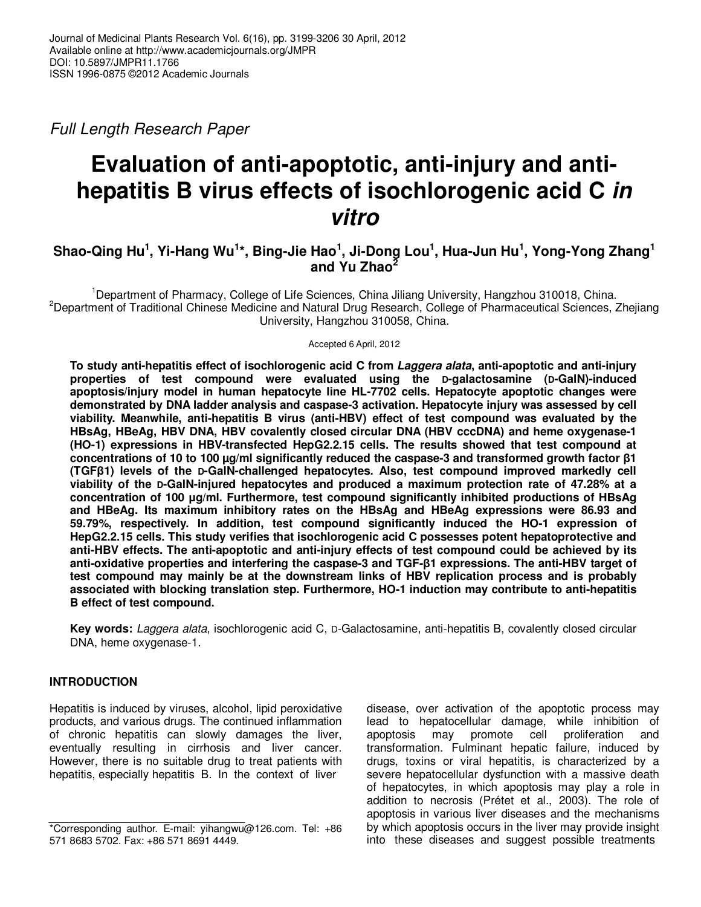Full Length Research Paper

# **Evaluation of anti-apoptotic, anti-injury and antihepatitis B virus effects of isochlorogenic acid C in vitro**

# **Shao-Qing Hu<sup>1</sup> , Yi-Hang Wu<sup>1</sup> \*, Bing-Jie Hao<sup>1</sup> , Ji-Dong Lou<sup>1</sup> , Hua-Jun Hu<sup>1</sup> , Yong-Yong Zhang<sup>1</sup> and Yu Zhao<sup>2</sup>**

<sup>1</sup>Department of Pharmacy, College of Life Sciences, China Jiliang University, Hangzhou 310018, China. <sup>2</sup>Department of Traditional Chinese Medicine and Natural Drug Research, College of Pharmaceutical Sciences, Zhejiang University, Hangzhou 310058, China.

Accepted 6 April, 2012

**To study anti-hepatitis effect of isochlorogenic acid C from Laggera alata, anti-apoptotic and anti-injury properties of test compound were evaluated using the D-galactosamine (D-GalN)-induced apoptosis/injury model in human hepatocyte line HL-7702 cells. Hepatocyte apoptotic changes were demonstrated by DNA ladder analysis and caspase-3 activation. Hepatocyte injury was assessed by cell viability. Meanwhile, anti-hepatitis B virus (anti-HBV) effect of test compound was evaluated by the HBsAg, HBeAg, HBV DNA, HBV covalently closed circular DNA (HBV cccDNA) and heme oxygenase-1 (HO-1) expressions in HBV-transfected HepG2.2.15 cells. The results showed that test compound at concentrations of 10 to 100 µg/ml significantly reduced the caspase-3 and transformed growth factor β1 (TGFβ1) levels of the D-GalN-challenged hepatocytes. Also, test compound improved markedly cell viability of the D-GalN-injured hepatocytes and produced a maximum protection rate of 47.28% at a concentration of 100 µg/ml. Furthermore, test compound significantly inhibited productions of HBsAg and HBeAg. Its maximum inhibitory rates on the HBsAg and HBeAg expressions were 86.93 and 59.79%, respectively. In addition, test compound significantly induced the HO-1 expression of HepG2.2.15 cells. This study verifies that isochlorogenic acid C possesses potent hepatoprotective and anti-HBV effects. The anti-apoptotic and anti-injury effects of test compound could be achieved by its anti-oxidative properties and interfering the caspase-3 and TGF-β1 expressions. The anti-HBV target of test compound may mainly be at the downstream links of HBV replication process and is probably associated with blocking translation step. Furthermore, HO-1 induction may contribute to anti-hepatitis B effect of test compound.** 

**Key words:** Laggera alata, isochlorogenic acid C, D-Galactosamine, anti-hepatitis B, covalently closed circular DNA, heme oxygenase-1.

# **INTRODUCTION**

Hepatitis is induced by viruses, alcohol, lipid peroxidative products, and various drugs. The continued inflammation of chronic hepatitis can slowly damages the liver, eventually resulting in cirrhosis and liver cancer. However, there is no suitable drug to treat patients with hepatitis, especially hepatitis B. In the context of liver

disease, over activation of the apoptotic process may lead to hepatocellular damage, while inhibition of apoptosis may promote cell proliferation and transformation. Fulminant hepatic failure, induced by drugs, toxins or viral hepatitis, is characterized by a severe hepatocellular dysfunction with a massive death of hepatocytes, in which apoptosis may play a role in addition to necrosis (Prétet et al., 2003). The role of apoptosis in various liver diseases and the mechanisms by which apoptosis occurs in the liver may provide insight into these diseases and suggest possible treatments

<sup>\*</sup>Corresponding author. E-mail: yihangwu@126.com. Tel: +86 571 8683 5702. Fax: +86 571 8691 4449.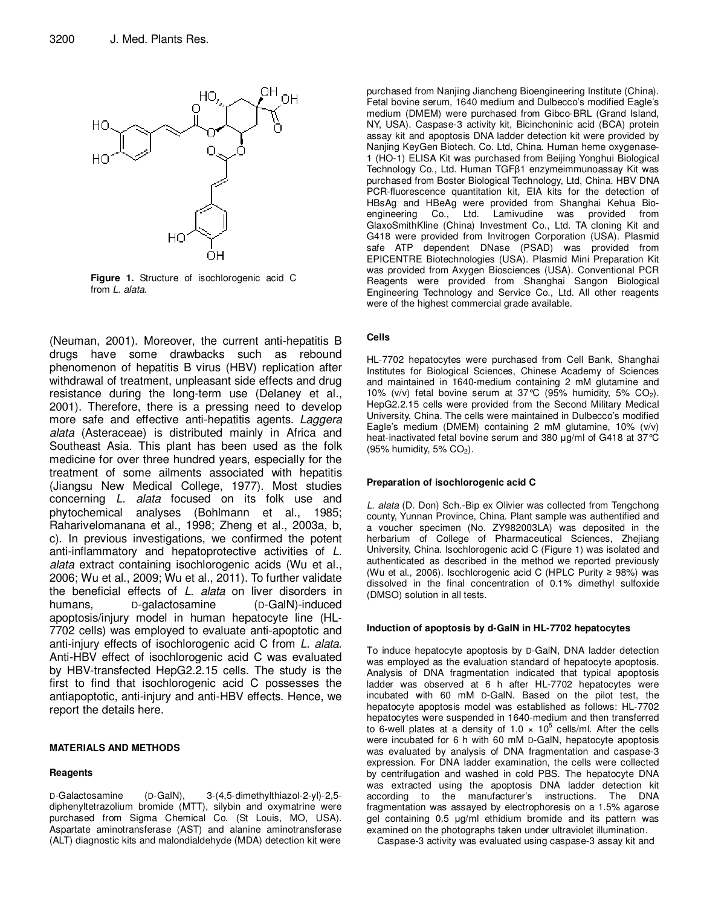

**Figure 1.** Structure of isochlorogenic acid C from L. alata.

(Neuman, 2001). Moreover, the current anti-hepatitis B drugs have some drawbacks such as rebound phenomenon of hepatitis B virus (HBV) replication after withdrawal of treatment, unpleasant side effects and drug resistance during the long-term use (Delaney et al., 2001). Therefore, there is a pressing need to develop more safe and effective anti-hepatitis agents. Laggera alata (Asteraceae) is distributed mainly in Africa and Southeast Asia. This plant has been used as the folk medicine for over three hundred years, especially for the treatment of some ailments associated with hepatitis (Jiangsu New Medical College, 1977). Most studies concerning L. alata focused on its folk use and phytochemical analyses (Bohlmann et al., 1985; Raharivelomanana et al., 1998; Zheng et al., 2003a, b, c). In previous investigations, we confirmed the potent anti-inflammatory and hepatoprotective activities of L. alata extract containing isochlorogenic acids (Wu et al., 2006; Wu et al., 2009; Wu et al., 2011). To further validate the beneficial effects of L. alata on liver disorders in humans, D-galactosamine (D-GalN)-induced apoptosis/injury model in human hepatocyte line (HL-7702 cells) was employed to evaluate anti-apoptotic and anti-injury effects of isochlorogenic acid C from L. alata. Anti-HBV effect of isochlorogenic acid C was evaluated by HBV-transfected HepG2.2.15 cells. The study is the first to find that isochlorogenic acid C possesses the antiapoptotic, anti-injury and anti-HBV effects. Hence, we report the details here.

#### **MATERIALS AND METHODS**

#### **Reagents**

D-Galactosamine (D-GalN), 3-(4,5-dimethylthiazol-2-yl)-2,5 diphenyltetrazolium bromide (MTT), silybin and oxymatrine were purchased from Sigma Chemical Co. (St Louis, MO, USA). Aspartate aminotransferase (AST) and alanine aminotransferase (ALT) diagnostic kits and malondialdehyde (MDA) detection kit were

purchased from Nanjing Jiancheng Bioengineering Institute (China). Fetal bovine serum, 1640 medium and Dulbecco's modified Eagle's medium (DMEM) were purchased from Gibco-BRL (Grand Island, NY, USA). Caspase-3 activity kit, Bicinchoninic acid (BCA) protein assay kit and apoptosis DNA ladder detection kit were provided by Nanjing KeyGen Biotech. Co. Ltd, China. Human heme oxygenase-1 (HO-1) ELISA Kit was purchased from Beijing Yonghui Biological Technology Co., Ltd. Human TGFβ1 enzymeimmunoassay Kit was purchased from Boster Biological Technology, Ltd, China. HBV DNA PCR-fluorescence quantitation kit, EIA kits for the detection of HBsAg and HBeAg were provided from Shanghai Kehua Bioengineering Co., Ltd. Lamivudine was provided from GlaxoSmithKline (China) Investment Co., Ltd. TA cloning Kit and G418 were provided from Invitrogen Corporation (USA). Plasmid safe ATP dependent DNase (PSAD) was provided from EPICENTRE Biotechnologies (USA). Plasmid Mini Preparation Kit was provided from Axygen Biosciences (USA). Conventional PCR Reagents were provided from Shanghai Sangon Biological Engineering Technology and Service Co., Ltd. All other reagents were of the highest commercial grade available.

#### **Cells**

HL-7702 hepatocytes were purchased from Cell Bank, Shanghai Institutes for Biological Sciences, Chinese Academy of Sciences and maintained in 1640-medium containing 2 mM glutamine and 10% (v/v) fetal bovine serum at  $37^{\circ}$ C (95% humidity, 5% CO<sub>2</sub>). HepG2.2.15 cells were provided from the Second Military Medical University, China. The cells were maintained in Dulbecco's modified Eagle's medium (DMEM) containing 2 mM glutamine, 10% (v/v) heat-inactivated fetal bovine serum and 380 µg/ml of G418 at 37°C (95% humidity, 5%  $CO<sub>2</sub>$ ).

#### **Preparation of isochlorogenic acid C**

L. alata (D. Don) Sch.-Bip ex Olivier was collected from Tengchong county, Yunnan Province, China. Plant sample was authentified and a voucher specimen (No. ZY982003LA) was deposited in the herbarium of College of Pharmaceutical Sciences, Zhejiang University, China. Isochlorogenic acid C (Figure 1) was isolated and authenticated as described in the method we reported previously (Wu et al., 2006). Isochlorogenic acid C (HPLC Purity ≥ 98%) was dissolved in the final concentration of 0.1% dimethyl sulfoxide (DMSO) solution in all tests.

#### **Induction of apoptosis by d-GalN in HL-7702 hepatocytes**

To induce hepatocyte apoptosis by D-GalN, DNA ladder detection was employed as the evaluation standard of hepatocyte apoptosis. Analysis of DNA fragmentation indicated that typical apoptosis ladder was observed at 6 h after HL-7702 hepatocytes were incubated with 60 mM D-GalN. Based on the pilot test, the hepatocyte apoptosis model was established as follows: HL-7702 hepatocytes were suspended in 1640-medium and then transferred to 6-well plates at a density of  $1.0 \times 10^5$  cells/ml. After the cells were incubated for 6 h with 60 mM D-GalN, hepatocyte apoptosis was evaluated by analysis of DNA fragmentation and caspase-3 expression. For DNA ladder examination, the cells were collected by centrifugation and washed in cold PBS. The hepatocyte DNA was extracted using the apoptosis DNA ladder detection kit according to the manufacturer's instructions. The DNA fragmentation was assayed by electrophoresis on a 1.5% agarose gel containing 0.5 µg/ml ethidium bromide and its pattern was examined on the photographs taken under ultraviolet illumination.

Caspase-3 activity was evaluated using caspase-3 assay kit and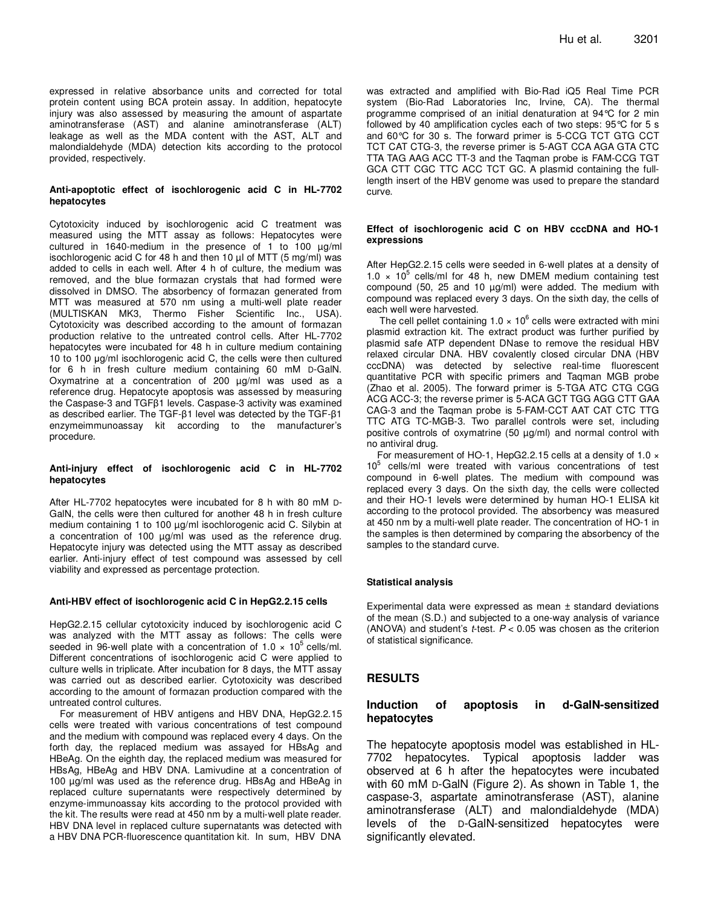expressed in relative absorbance units and corrected for total protein content using BCA protein assay. In addition, hepatocyte injury was also assessed by measuring the amount of aspartate aminotransferase (AST) and alanine aminotransferase (ALT) leakage as well as the MDA content with the AST, ALT and malondialdehyde (MDA) detection kits according to the protocol provided, respectively.

#### **Anti-apoptotic effect of isochlorogenic acid C in HL-7702 hepatocytes**

Cytotoxicity induced by isochlorogenic acid C treatment was measured using the MTT assay as follows: Hepatocytes were cultured in 1640-medium in the presence of 1 to 100 µg/ml isochlorogenic acid C for 48 h and then 10 µl of MTT (5 mg/ml) was added to cells in each well. After 4 h of culture, the medium was removed, and the blue formazan crystals that had formed were dissolved in DMSO. The absorbency of formazan generated from MTT was measured at 570 nm using a multi-well plate reader (MULTISKAN MK3, Thermo Fisher Scientific Inc., USA). Cytotoxicity was described according to the amount of formazan production relative to the untreated control cells. After HL-7702 hepatocytes were incubated for 48 h in culture medium containing 10 to 100 µg/ml isochlorogenic acid C, the cells were then cultured for 6 h in fresh culture medium containing 60 mM D-GalN. Oxymatrine at a concentration of 200 µg/ml was used as a reference drug. Hepatocyte apoptosis was assessed by measuring the Caspase-3 and TGFβ1 levels. Caspase-3 activity was examined as described earlier. The TGF-β1 level was detected by the TGF-β1 enzymeimmunoassay kit according to the manufacturer's procedure.

#### **Anti-injury effect of isochlorogenic acid C in HL-7702 hepatocytes**

After HL-7702 hepatocytes were incubated for 8 h with 80 mM D-GalN, the cells were then cultured for another 48 h in fresh culture medium containing 1 to 100 µg/ml isochlorogenic acid C. Silybin at a concentration of 100 µg/ml was used as the reference drug. Hepatocyte injury was detected using the MTT assay as described earlier. Anti-injury effect of test compound was assessed by cell viability and expressed as percentage protection.

#### **Anti-HBV effect of isochlorogenic acid C in HepG2.2.15 cells**

HepG2.2.15 cellular cytotoxicity induced by isochlorogenic acid C was analyzed with the MTT assay as follows: The cells were seeded in 96-well plate with a concentration of  $1.0 \times 10^5$  cells/ml. Different concentrations of isochlorogenic acid C were applied to culture wells in triplicate. After incubation for 8 days, the MTT assay was carried out as described earlier. Cytotoxicity was described according to the amount of formazan production compared with the untreated control cultures.

For measurement of HBV antigens and HBV DNA, HepG2.2.15 cells were treated with various concentrations of test compound and the medium with compound was replaced every 4 days. On the forth day, the replaced medium was assayed for HBsAg and HBeAg. On the eighth day, the replaced medium was measured for HBsAg, HBeAg and HBV DNA. Lamivudine at a concentration of 100 µg/ml was used as the reference drug. HBsAg and HBeAg in replaced culture supernatants were respectively determined by enzyme-immunoassay kits according to the protocol provided with the kit. The results were read at 450 nm by a multi-well plate reader. HBV DNA level in replaced culture supernatants was detected with a HBV DNA PCR-fluorescence quantitation kit. In sum, HBV DNA

was extracted and amplified with Bio-Rad iQ5 Real Time PCR system (Bio-Rad Laboratories Inc, Irvine, CA). The thermal programme comprised of an initial denaturation at 94°C for 2 min followed by 40 amplification cycles each of two steps: 95°C for 5 s and 60°C for 30 s. The forward primer is 5-CCG TCT GTG CCT TCT CAT CTG-3, the reverse primer is 5-AGT CCA AGA GTA CTC TTA TAG AAG ACC TT-3 and the Taqman probe is FAM-CCG TGT GCA CTT CGC TTC ACC TCT GC. A plasmid containing the fulllength insert of the HBV genome was used to prepare the standard curve.

#### **Effect of isochlorogenic acid C on HBV cccDNA and HO-1 expressions**

After HepG2.2.15 cells were seeded in 6-well plates at a density of  $1.0 \times 10^5$  cells/ml for 48 h, new DMEM medium containing test compound  $(50, 25 \text{ and } 10 \text{ µg/ml})$  were added. The medium with compound was replaced every 3 days. On the sixth day, the cells of each well were harvested.

The cell pellet containing  $1.0 \times 10^6$  cells were extracted with mini plasmid extraction kit. The extract product was further purified by plasmid safe ATP dependent DNase to remove the residual HBV relaxed circular DNA. HBV covalently closed circular DNA (HBV cccDNA) was detected by selective real-time fluorescent quantitative PCR with specific primers and Taqman MGB probe (Zhao et al. 2005). The forward primer is 5-TGA ATC CTG CGG ACG ACC-3; the reverse primer is 5-ACA GCT TGG AGG CTT GAA CAG-3 and the Taqman probe is 5-FAM-CCT AAT CAT CTC TTG TTC ATG TC-MGB-3. Two parallel controls were set, including positive controls of oxymatrine (50 µg/ml) and normal control with no antiviral drug.

For measurement of HO-1, HepG2.2.15 cells at a density of 1.0 × 10<sup>5</sup> cells/ml were treated with various concentrations of test compound in 6-well plates. The medium with compound was replaced every 3 days. On the sixth day, the cells were collected and their HO-1 levels were determined by human HO-1 ELISA kit according to the protocol provided. The absorbency was measured at 450 nm by a multi-well plate reader. The concentration of HO-1 in the samples is then determined by comparing the absorbency of the samples to the standard curve.

#### **Statistical analysis**

Experimental data were expressed as mean ± standard deviations of the mean (S.D.) and subjected to a one-way analysis of variance (ANOVA) and student's *t*-test.  $P < 0.05$  was chosen as the criterion of statistical significance.

#### **RESULTS**

## **Induction of apoptosis in d-GalN-sensitized hepatocytes**

The hepatocyte apoptosis model was established in HL-7702 hepatocytes. Typical apoptosis ladder was observed at 6 h after the hepatocytes were incubated with 60 mM D-GalN (Figure 2). As shown in Table 1, the caspase-3, aspartate aminotransferase (AST), alanine aminotransferase (ALT) and malondialdehyde (MDA) levels of the D-GalN-sensitized hepatocytes were significantly elevated.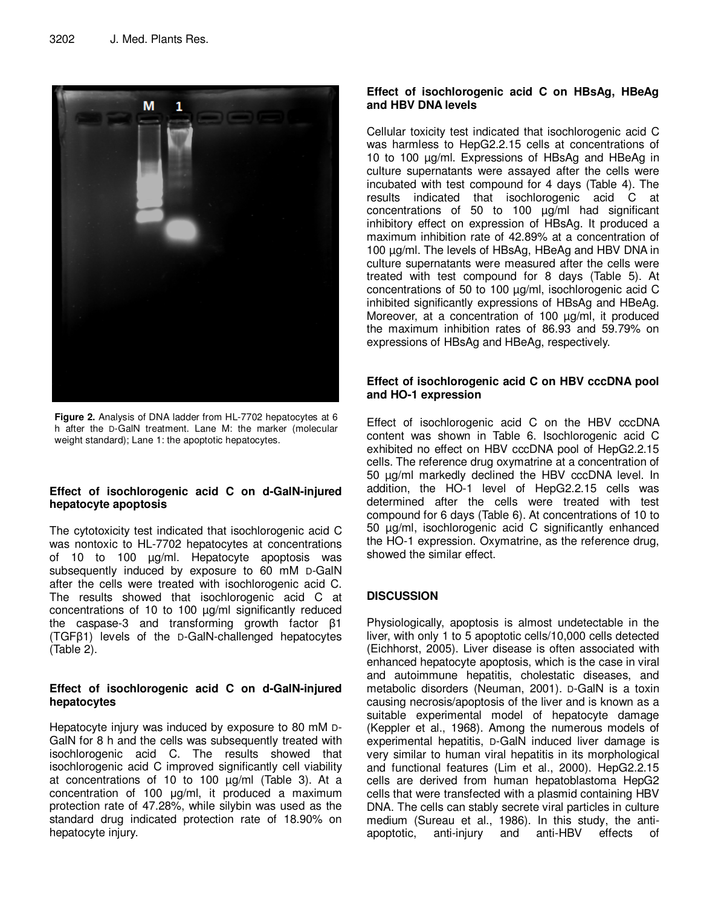

**Figure 2.** Analysis of DNA ladder from HL-7702 hepatocytes at 6 h after the D-GalN treatment. Lane M: the marker (molecular weight standard); Lane 1: the apoptotic hepatocytes.

## **Effect of isochlorogenic acid C on d-GalN-injured hepatocyte apoptosis**

The cytotoxicity test indicated that isochlorogenic acid C was nontoxic to HL-7702 hepatocytes at concentrations of 10 to 100 µg/ml. Hepatocyte apoptosis was subsequently induced by exposure to 60 mM D-GalN after the cells were treated with isochlorogenic acid C. The results showed that isochlorogenic acid C at concentrations of 10 to 100 µg/ml significantly reduced the caspase-3 and transforming growth factor β1 (TGFβ1) levels of the D-GalN-challenged hepatocytes (Table 2).

## **Effect of isochlorogenic acid C on d-GalN-injured hepatocytes**

Hepatocyte injury was induced by exposure to 80 mM D-GalN for 8 h and the cells was subsequently treated with isochlorogenic acid C. The results showed that isochlorogenic acid C improved significantly cell viability at concentrations of 10 to 100 µg/ml (Table 3). At a concentration of 100 µg/ml, it produced a maximum protection rate of 47.28%, while silybin was used as the standard drug indicated protection rate of 18.90% on hepatocyte injury.

# **Effect of isochlorogenic acid C on HBsAg, HBeAg and HBV DNA levels**

Cellular toxicity test indicated that isochlorogenic acid C was harmless to HepG2.2.15 cells at concentrations of 10 to 100 µg/ml. Expressions of HBsAg and HBeAg in culture supernatants were assayed after the cells were incubated with test compound for 4 days (Table 4). The results indicated that isochlorogenic acid C at concentrations of 50 to 100 µg/ml had significant inhibitory effect on expression of HBsAg. It produced a maximum inhibition rate of 42.89% at a concentration of 100 µg/ml. The levels of HBsAg, HBeAg and HBV DNA in culture supernatants were measured after the cells were treated with test compound for 8 days (Table 5). At concentrations of 50 to 100 µg/ml, isochlorogenic acid C inhibited significantly expressions of HBsAg and HBeAg. Moreover, at a concentration of 100 µg/ml, it produced the maximum inhibition rates of 86.93 and 59.79% on expressions of HBsAg and HBeAg, respectively.

# **Effect of isochlorogenic acid C on HBV cccDNA pool and HO-1 expression**

Effect of isochlorogenic acid C on the HBV cccDNA content was shown in Table 6. Isochlorogenic acid C exhibited no effect on HBV cccDNA pool of HepG2.2.15 cells. The reference drug oxymatrine at a concentration of 50 µg/ml markedly declined the HBV cccDNA level. In addition, the HO-1 level of HepG2.2.15 cells was determined after the cells were treated with test compound for 6 days (Table 6). At concentrations of 10 to 50 µg/ml, isochlorogenic acid C significantly enhanced the HO-1 expression. Oxymatrine, as the reference drug, showed the similar effect.

# **DISCUSSION**

Physiologically, apoptosis is almost undetectable in the liver, with only 1 to 5 apoptotic cells/10,000 cells detected (Eichhorst, 2005). Liver disease is often associated with enhanced hepatocyte apoptosis, which is the case in viral and autoimmune hepatitis, cholestatic diseases, and metabolic disorders (Neuman, 2001). D-GalN is a toxin causing necrosis/apoptosis of the liver and is known as a suitable experimental model of hepatocyte damage (Keppler et al., 1968). Among the numerous models of experimental hepatitis, D-GalN induced liver damage is very similar to human viral hepatitis in its morphological and functional features (Lim et al., 2000). HepG2.2.15 cells are derived from human hepatoblastoma HepG2 cells that were transfected with a plasmid containing HBV DNA. The cells can stably secrete viral particles in culture medium (Sureau et al., 1986). In this study, the antiapoptotic, anti-injury and anti-HBV effects of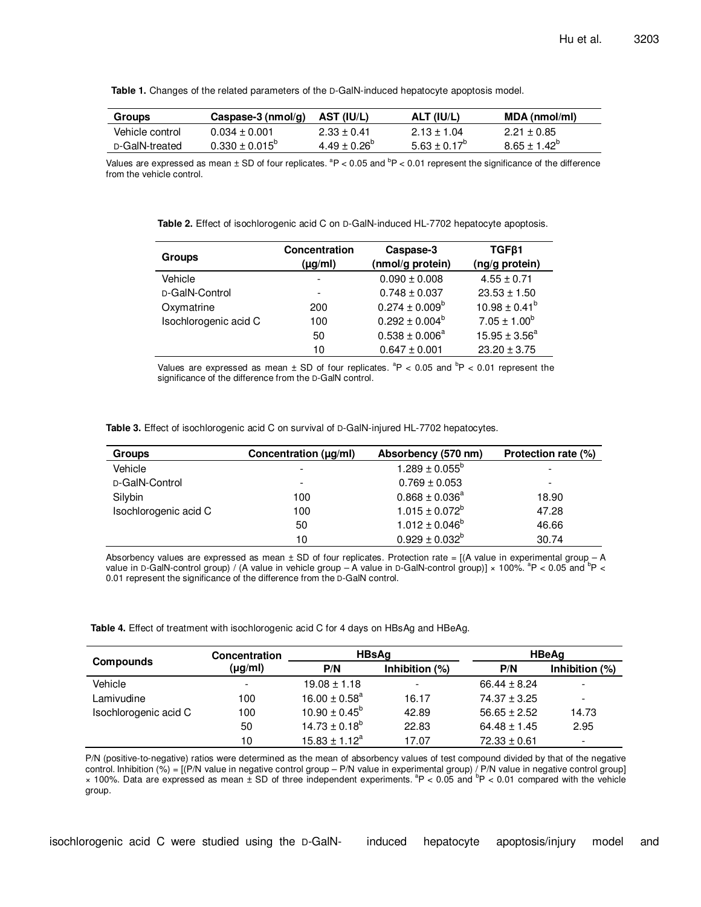**Table 1.** Changes of the related parameters of the D-GalN-induced hepatocyte apoptosis model.

| <b>Groups</b>   | Caspase-3 ( $nmol/a$ )    | AST (IU/L)              | ALT (IU/L)              | MDA (nmol/ml)         |
|-----------------|---------------------------|-------------------------|-------------------------|-----------------------|
| Vehicle control | $0.034 \pm 0.001$         | $2.33 \pm 0.41$         | $2.13 \pm 1.04$         | $2.21 \pm 0.85$       |
| D-GalN-treated  | $0.330 \pm 0.015^{\circ}$ | $4.49 \pm 0.26^{\circ}$ | $5.63 \pm 0.17^{\circ}$ | $8.65 + 1.42^{\circ}$ |

Values are expressed as mean  $\pm$  SD of four replicates.  ${}^{a}P$  < 0.05 and  ${}^{b}P$  < 0.01 represent the significance of the difference from the vehicle control.

**Table 2.** Effect of isochlorogenic acid C on D-GalN-induced HL-7702 hepatocyte apoptosis.

| Groups                | <b>Concentration</b><br>$(\mu g/ml)$ | Caspase-3<br>(nmol/g protein) | TGF <sub>B1</sub><br>(ng/g protein) |
|-----------------------|--------------------------------------|-------------------------------|-------------------------------------|
| Vehicle               |                                      | $0.090 \pm 0.008$             | $4.55 \pm 0.71$                     |
| D-GalN-Control        | $\overline{\phantom{a}}$             | $0.748 \pm 0.037$             | $23.53 \pm 1.50$                    |
| Oxymatrine            | 200                                  | $0.274 \pm 0.009^b$           | $10.98 \pm 0.41^b$                  |
| Isochlorogenic acid C | 100                                  | $0.292 \pm 0.004^b$           | $7.05 \pm 1.00^b$                   |
|                       | 50                                   | $0.538 \pm 0.006^a$           | $15.95 \pm 3.56^a$                  |
|                       | 10                                   | $0.647 \pm 0.001$             | $23.20 \pm 3.75$                    |

Values are expressed as mean  $\pm$  SD of four replicates.  ${}^{a}P$  < 0.05 and  ${}^{b}P$  < 0.01 represent the significance of the difference from the D-GalN control.

| Table 3. Effect of isochlorogenic acid C on survival of D-GalN-injured HL-7702 hepatocytes. |  |
|---------------------------------------------------------------------------------------------|--|
|---------------------------------------------------------------------------------------------|--|

| <b>Groups</b>         | Concentration (µg/ml)    | Absorbency (570 nm) | Protection rate (%) |
|-----------------------|--------------------------|---------------------|---------------------|
| Vehicle               | $\overline{\phantom{a}}$ | $1.289 \pm 0.055^b$ |                     |
| D-GalN-Control        | $\overline{\phantom{a}}$ | $0.769 \pm 0.053$   | -                   |
| Silybin               | 100                      | $0.868 \pm 0.036^a$ | 18.90               |
| Isochlorogenic acid C | 100                      | $1.015 \pm 0.072^b$ | 47.28               |
|                       | 50                       | $1.012 \pm 0.046^b$ | 46.66               |
|                       | 10                       | $0.929 \pm 0.032^b$ | 30.74               |

Absorbency values are expressed as mean  $\pm$  SD of four replicates. Protection rate = [(A value in experimental group – A value in D-GalN-control group) / (A value in vehicle group  $-$  A value in D-GalN-control group)]  $\times$  100%. <sup>a</sup>P < 0.05 and <sup>b</sup>P < 0.01 represent the significance of the difference from the D-GalN control.

**Table 4.** Effect of treatment with isochlorogenic acid C for 4 days on HBsAg and HBeAg.

|                       | <b>Concentration</b>     | <b>HBsAg</b>             |                   | <b>HBeAg</b>     |                          |
|-----------------------|--------------------------|--------------------------|-------------------|------------------|--------------------------|
| <b>Compounds</b>      | $(\mu g/ml)$             | P/N                      | Inhibition $(\%)$ | P/N              | Inhibition $(\%)$        |
| Vehicle               | $\overline{\phantom{a}}$ | $19.08 \pm 1.18$         |                   | $66.44 \pm 8.24$ |                          |
| Lamivudine            | 100                      | $16.00 \pm 0.58^a$       | 16.17             | $74.37 \pm 3.25$ | $\overline{\phantom{a}}$ |
| Isochlorogenic acid C | 100                      | $10.90 \pm 0.45^{\circ}$ | 42.89             | $56.65 \pm 2.52$ | 14.73                    |
|                       | 50                       | $14.73 \pm 0.18^b$       | 22.83             | $64.48 \pm 1.45$ | 2.95                     |
|                       | 10                       | $15.83 \pm 1.12^a$       | 17.07             | $72.33 \pm 0.61$ | $\overline{\phantom{a}}$ |

P/N (positive-to-negative) ratios were determined as the mean of absorbency values of test compound divided by that of the negative control. Inhibition (%) = [(P/N value in negative control group – P/N value in experimental group) / P/N value in negative control group]<br>× 100%. Data are expressed as mean ± SD of three independent experiments. <sup>a</sup>P < 0.0 group.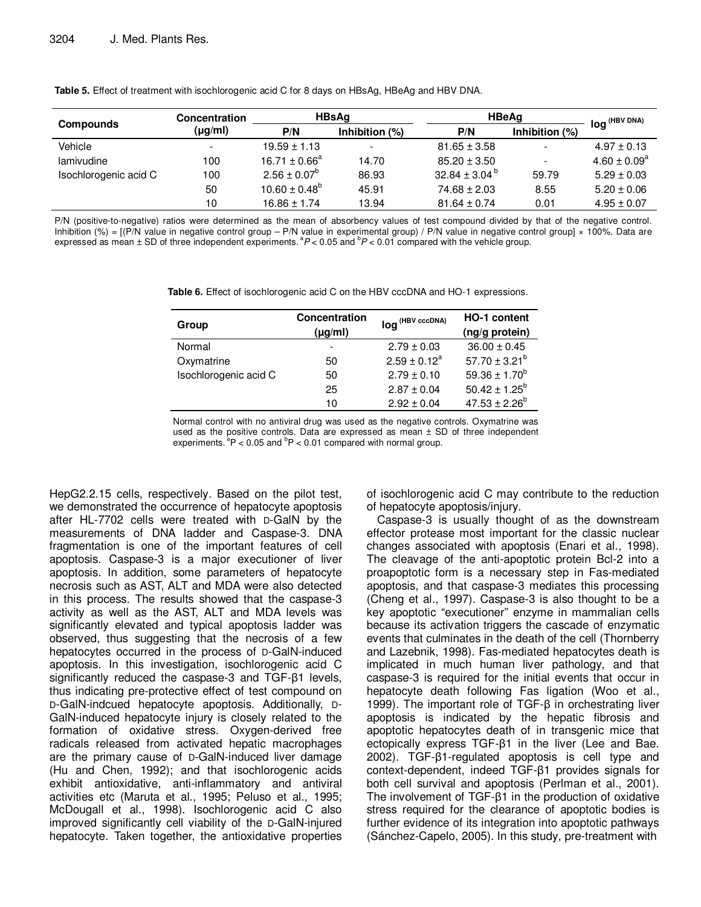|                       | Concentration            | <b>HBsAa</b>             |                          | <b>HBeAg</b>            |                          | $ \log$ (HBV DNA) |
|-----------------------|--------------------------|--------------------------|--------------------------|-------------------------|--------------------------|-------------------|
| <b>Compounds</b>      | $(\mu g/ml)$             | P/N                      | Inhibition $(%)$         | P/N                     | Inhibition (%)           |                   |
| Vehicle               | $\overline{\phantom{0}}$ | $19.59 \pm 1.13$         | $\overline{\phantom{a}}$ | $81.65 \pm 3.58$        |                          | $4.97 \pm 0.13$   |
| lamivudine            | 100                      | $16.71 \pm 0.66^a$       | 14.70                    | $85.20 \pm 3.50$        | $\overline{\phantom{a}}$ | $4.60 \pm 0.09^a$ |
| Isochlorogenic acid C | 100                      | $2.56 \pm 0.07^b$        | 86.93                    | 32.84 ± 3.04 $^{\rm b}$ | 59.79                    | $5.29 \pm 0.03$   |
|                       | 50                       | $10.60 \pm 0.48^{\circ}$ | 45.91                    | $74.68 \pm 2.03$        | 8.55                     | $5.20 \pm 0.06$   |
|                       | 10                       | $16.86 \pm 1.74$         | 13.94                    | $81.64 \pm 0.74$        | 0.01                     | $4.95 \pm 0.07$   |

**Table 5.** Effect of treatment with isochlorogenic acid C for 8 days on HBsAg, HBeAg and HBV DNA.

P/N (positive-to-negative) ratios were determined as the mean of absorbency values of test compound divided by that of the negative control. Inhibition (%) =  $[(P/N \text{ value in negative control group} - P/N \text{ value in experimental group})/P/N \text{ value in negative control group}] \times 100\%$ . Data are expressed as mean  $\pm$  SD of three independent experiments.  ${}^{a}P$  < 0.05 and  ${}^{b}P$  < 0.01 compared with the vehicle group.

**Table 6.** Effect of isochlorogenic acid C on the HBV cccDNA and HO-1 expressions.

| Group                 | Concentration<br>$(\mu g/ml)$ | log <sup>(HBV cccDNA)</sup> | HO-1 content<br>(ng/g protein) |
|-----------------------|-------------------------------|-----------------------------|--------------------------------|
| Normal                | $\overline{\phantom{a}}$      | $2.79 \pm 0.03$             | $36.00 \pm 0.45$               |
| Oxymatrine            | 50                            | $2.59 \pm 0.12^a$           | $57.70 \pm 3.21^b$             |
| Isochlorogenic acid C | 50                            | $2.79 \pm 0.10$             | 59.36 $\pm$ 1.70 <sup>b</sup>  |
|                       | 25                            | $2.87 \pm 0.04$             | $50.42 \pm 1.25^b$             |
|                       | 10                            | $2.92 \pm 0.04$             | $47.53 \pm 2.26^b$             |

Normal control with no antiviral drug was used as the negative controls. Oxymatrine was used as the positive controls. Data are expressed as mean  $\pm$  SD of three independent experiments.  ${}^{a}P$  < 0.05 and  ${}^{b}P$  < 0.01 compared with normal group.

HepG2.2.15 cells, respectively. Based on the pilot test, we demonstrated the occurrence of hepatocyte apoptosis after HL-7702 cells were treated with D-GalN by the measurements of DNA ladder and Caspase-3. DNA fragmentation is one of the important features of cell apoptosis. Caspase-3 is a major executioner of liver apoptosis. In addition, some parameters of hepatocyte necrosis such as AST, ALT and MDA were also detected in this process. The results showed that the caspase-3 activity as well as the AST, ALT and MDA levels was significantly elevated and typical apoptosis ladder was observed, thus suggesting that the necrosis of a few hepatocytes occurred in the process of D-GalN-induced apoptosis. In this investigation, isochlorogenic acid C significantly reduced the caspase-3 and TGF-β1 levels, thus indicating pre-protective effect of test compound on D-GalN-indcued hepatocyte apoptosis. Additionally, D-GalN-induced hepatocyte injury is closely related to the formation of oxidative stress. Oxygen-derived free radicals released from activated hepatic macrophages are the primary cause of D-GalN-induced liver damage (Hu and Chen, 1992); and that isochlorogenic acids exhibit antioxidative, anti-inflammatory and antiviral activities etc (Maruta et al., 1995; Peluso et al., 1995; McDougall et al., 1998). Isochlorogenic acid C also improved significantly cell viability of the D-GalN-injured hepatocyte. Taken together, the antioxidative properties of isochlorogenic acid C may contribute to the reduction of hepatocyte apoptosis/injury.

Caspase-3 is usually thought of as the downstream effector protease most important for the classic nuclear changes associated with apoptosis (Enari et al., 1998). The cleavage of the anti-apoptotic protein Bcl-2 into a proapoptotic form is a necessary step in Fas-mediated apoptosis, and that caspase-3 mediates this processing (Cheng et al., 1997). Caspase-3 is also thought to be a key apoptotic "executioner" enzyme in mammalian cells because its activation triggers the cascade of enzymatic events that culminates in the death of the cell (Thornberry and Lazebnik, 1998). Fas-mediated hepatocytes death is implicated in much human liver pathology, and that caspase-3 is required for the initial events that occur in hepatocyte death following Fas ligation (Woo et al., 1999). The important role of TGF-β in orchestrating liver apoptosis is indicated by the hepatic fibrosis and apoptotic hepatocytes death of in transgenic mice that ectopically express TGF-β1 in the liver (Lee and Bae. 2002). TGF-β1-regulated apoptosis is cell type and context-dependent, indeed TGF-β1 provides signals for both cell survival and apoptosis (Perlman et al., 2001). The involvement of TGF-β1 in the production of oxidative stress required for the clearance of apoptotic bodies is further evidence of its integration into apoptotic pathways (Sánchez-Capelo, 2005). In this study, pre-treatment with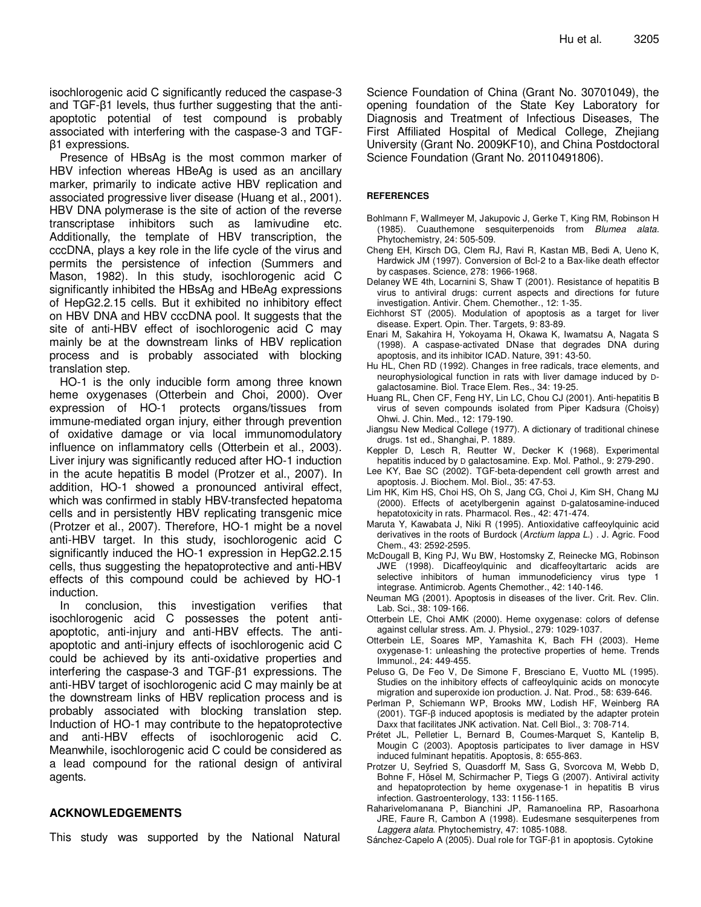isochlorogenic acid C significantly reduced the caspase-3 and TGF-β1 levels, thus further suggesting that the antiapoptotic potential of test compound is probably associated with interfering with the caspase-3 and TGFβ1 expressions.

Presence of HBsAg is the most common marker of HBV infection whereas HBeAg is used as an ancillary marker, primarily to indicate active HBV replication and associated progressive liver disease (Huang et al., 2001). HBV DNA polymerase is the site of action of the reverse transcriptase inhibitors such as lamivudine etc. Additionally, the template of HBV transcription, the cccDNA, plays a key role in the life cycle of the virus and permits the persistence of infection (Summers and Mason, 1982). In this study, isochlorogenic acid C significantly inhibited the HBsAg and HBeAg expressions of HepG2.2.15 cells. But it exhibited no inhibitory effect on HBV DNA and HBV cccDNA pool. It suggests that the site of anti-HBV effect of isochlorogenic acid C may mainly be at the downstream links of HBV replication process and is probably associated with blocking translation step.

HO-1 is the only inducible form among three known heme oxygenases (Otterbein and Choi, 2000). Over expression of HO-1 protects organs/tissues from immune-mediated organ injury, either through prevention of oxidative damage or via local immunomodulatory influence on inflammatory cells (Otterbein et al., 2003). Liver injury was significantly reduced after HO-1 induction in the acute hepatitis B model (Protzer et al., 2007). In addition, HO-1 showed a pronounced antiviral effect, which was confirmed in stably HBV-transfected hepatoma cells and in persistently HBV replicating transgenic mice (Protzer et al., 2007). Therefore, HO-1 might be a novel anti-HBV target. In this study, isochlorogenic acid C significantly induced the HO-1 expression in HepG2.2.15 cells, thus suggesting the hepatoprotective and anti-HBV effects of this compound could be achieved by HO-1 induction.

In conclusion, this investigation verifies that isochlorogenic acid C possesses the potent antiapoptotic, anti-injury and anti-HBV effects. The antiapoptotic and anti-injury effects of isochlorogenic acid C could be achieved by its anti-oxidative properties and interfering the caspase-3 and TGF-β1 expressions. The anti-HBV target of isochlorogenic acid C may mainly be at the downstream links of HBV replication process and is probably associated with blocking translation step. Induction of HO-1 may contribute to the hepatoprotective and anti-HBV effects of isochlorogenic acid C. Meanwhile, isochlorogenic acid C could be considered as a lead compound for the rational design of antiviral agents.

#### **ACKNOWLEDGEMENTS**

This study was supported by the National Natural

Science Foundation of China (Grant No. 30701049), the opening foundation of the State Key Laboratory for Diagnosis and Treatment of Infectious Diseases, The First Affiliated Hospital of Medical College, Zhejiang University (Grant No. 2009KF10), and China Postdoctoral Science Foundation (Grant No. 20110491806).

#### **REFERENCES**

- Bohlmann F, Wallmeyer M, Jakupovic J, Gerke T, King RM, Robinson H (1985). Cuauthemone sesquiterpenoids from Blumea alata. Phytochemistry, 24: 505-509.
- Cheng EH, Kirsch DG, Clem RJ, Ravi R, Kastan MB, Bedi A, Ueno K, Hardwick JM (1997). Conversion of Bcl-2 to a Bax-like death effector by caspases. Science, 278: 1966-1968.
- Delaney WE 4th, Locarnini S, Shaw T (2001). Resistance of hepatitis B virus to antiviral drugs: current aspects and directions for future investigation. Antivir. Chem. Chemother., 12: 1-35.
- Eichhorst ST (2005). Modulation of apoptosis as a target for liver disease. Expert. Opin. Ther. Targets, 9: 83-89.
- Enari M, Sakahira H, Yokoyama H, Okawa K, Iwamatsu A, Nagata S (1998). A caspase-activated DNase that degrades DNA during apoptosis, and its inhibitor ICAD. Nature, 391: 43-50.
- Hu HL, Chen RD (1992). Changes in free radicals, trace elements, and neurophysiological function in rats with liver damage induced by Dgalactosamine. Biol. Trace Elem. Res., 34: 19-25.
- Huang RL, Chen CF, Feng HY, Lin LC, Chou CJ (2001). Anti-hepatitis B virus of seven compounds isolated from Piper Kadsura (Choisy) Ohwi. J. Chin. Med., 12: 179-190.
- Jiangsu New Medical College (1977). A dictionary of traditional chinese drugs. 1st ed., Shanghai, P. 1889.
- Keppler D, Lesch R, Reutter W, Decker K (1968). Experimental hepatitis induced by D galactosamine. Exp. Mol. Pathol., 9: 279-290.
- Lee KY, Bae SC (2002). TGF-beta-dependent cell growth arrest and apoptosis. J. Biochem. Mol. Biol., 35: 47-53.
- Lim HK, Kim HS, Choi HS, Oh S, Jang CG, Choi J, Kim SH, Chang MJ (2000). Effects of acetylbergenin against D-galatosamine-induced hepatotoxicity in rats. Pharmacol. Res., 42: 471-474.
- Maruta Y, Kawabata J, Niki R (1995). Antioxidative caffeoylquinic acid derivatives in the roots of Burdock (Arctium lappa L.) . J. Agric. Food Chem., 43: 2592-2595.
- McDougall B, King PJ, Wu BW, Hostomsky Z, Reinecke MG, Robinson JWE (1998). Dicaffeoylquinic and dicaffeoyltartaric acids are selective inhibitors of human immunodeficiency virus type 1 integrase. Antimicrob. Agents Chemother., 42: 140-146.
- Neuman MG (2001). Apoptosis in diseases of the liver. Crit. Rev. Clin. Lab. Sci., 38: 109-166.
- Otterbein LE, Choi AMK (2000). Heme oxygenase: colors of defense against cellular stress. Am. J. Physiol., 279: 1029-1037.
- Otterbein LE, Soares MP, Yamashita K, Bach FH (2003). Heme oxygenase-1: unleashing the protective properties of heme. Trends Immunol., 24: 449-455.
- Peluso G, De Feo V, De Simone F, Bresciano E, Vuotto ML (1995). Studies on the inhibitory effects of caffeoylquinic acids on monocyte migration and superoxide ion production. J. Nat. Prod., 58: 639-646.
- Perlman P, Schiemann WP, Brooks MW, Lodish HF, Weinberg RA (2001). TGF-β induced apoptosis is mediated by the adapter protein Daxx that facilitates JNK activation. Nat. Cell Biol., 3: 708-714.
- Prétet JL, Pelletier L, Bernard B, Coumes-Marquet S, Kantelip B, Mougin C (2003). Apoptosis participates to liver damage in HSV induced fulminant hepatitis. Apoptosis, 8: 655-863.
- Protzer U, Seyfried S, Quasdorff M, Sass G, Svorcova M, Webb D, Bohne F, Hösel M, Schirmacher P, Tiegs G (2007). Antiviral activity and hepatoprotection by heme oxygenase-1 in hepatitis B virus infection. Gastroenterology, 133: 1156-1165.
- Raharivelomanana P, Bianchini JP, Ramanoelina RP, Rasoarhona JRE, Faure R, Cambon A (1998). Eudesmane sesquiterpenes from Laggera alata. Phytochemistry, 47: 1085-1088.
- Sánchez-Capelo A (2005). Dual role for TGF-β1 in apoptosis. Cytokine